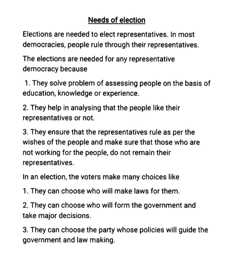## Needs of election

Elections are needed to elect representatives. In most democracies, people rule through their representatives.

The elections are needed for any representative democracy because

1. They solve problem of assessing people on the basis of education, knowledge or experience.

2. They help in analysing that the people like their representatives or not.

3. They ensure that the representatives rule as per the wishes of the people and make sure that those who are not working for the people, do not remain their representatives.

In an election, the voters make many choices like

1. They can choose who will make laws for them.

2. They can choose who will form the government and take major decisions.

3. They can choose the party whose policies will guide the government and law making.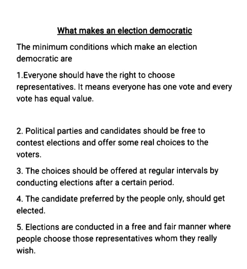## What makes an election democratic

The minimum conditions which make an election democratic are

1.Everyone should have the right to choose representatives. It means everyone has one vote and every vote has equal value.

2. Political parties and candidates should be free to contest elections and offer some real choices to the voters.

3. The choices should be offered at regular intervals by conducting elections after a certain period.

4. The candidate preferred by the people only, should get elected.

5. Elections are conducted in a free and fair manner where people choose those representatives whom they really wish.